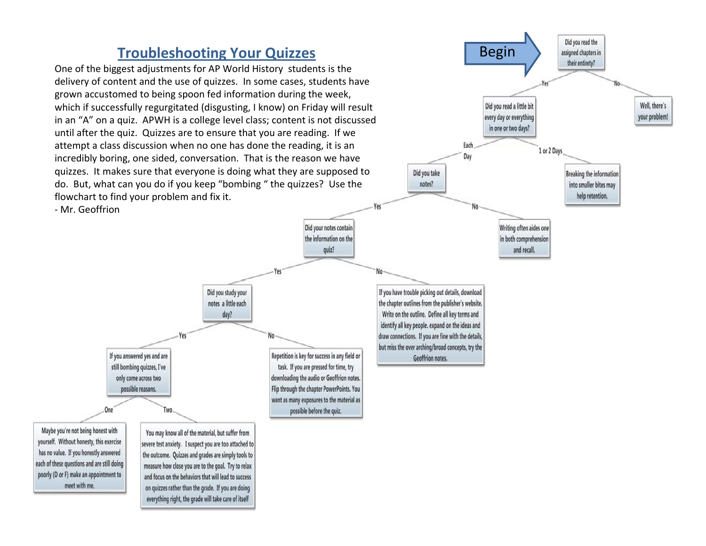